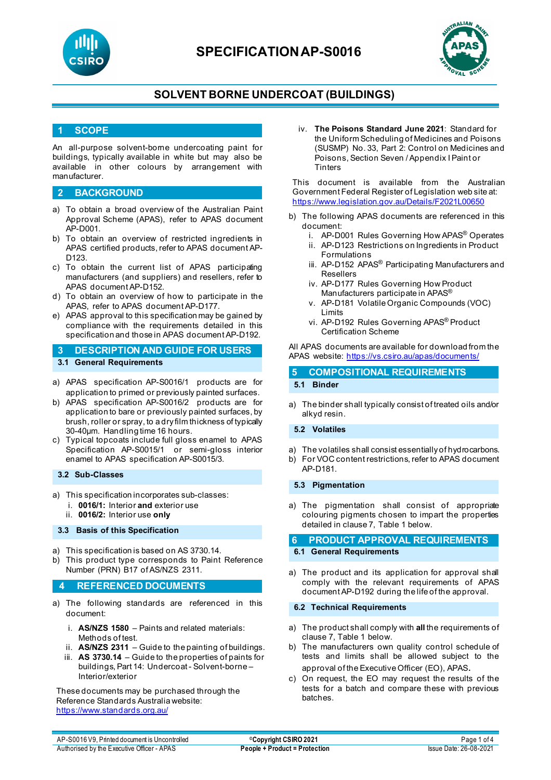

# **SPECIFICATIONAP-S0016**



## **SOLVENT BORNE UNDERCOAT (BUILDINGS)**

## **1 SCOPE**

An all-purpose solvent-borne undercoating paint for buildings, typically available in white but may also be available in other colours by arrangement with manufacturer.

### **2 BACKGROUND**

- a) To obtain a broad overview of the Australian Paint Approval Scheme (APAS), refer to APAS document AP-D001.
- b) To obtain an overview of restricted ingredients in APAS certified products, refer to APAS document AP-D<sub>123</sub>
- c) To obtain the current list of APAS participating manufacturers (and suppliers) and resellers, refer to APAS document AP-D152.
- d) To obtain an overview of how to participate in the APAS, refer to APAS document AP-D177.
- e) APAS approval to this specification may be gained by compliance with the requirements detailed in this specification and those in APAS document AP-D192.
- **3 DESCRIPTION AND GUIDE FOR USERS 3.1 General Requirements**
- a) APAS specification AP-S0016/1 products are for application to primed or previously painted surfaces.
- b) APAS specification AP-S0016/2 products are for application to bare or previously painted surfaces, by brush, roller or spray, to a dry film thickness of typically 30-40μm. Handling time 16 hours.
- c) Typical topcoats include full gloss enamel to APAS Specification AP-S0015/1 or semi-gloss interior enamel to APAS specification AP-S0015/3.

### **3.2 Sub-Classes**

- a) This specification incorporates sub-classes:
	- i. **0016/1:** Interior **and** exterior use
	- ii. **0016/2:** Interior use **only**

#### **3.3 Basis of this Specification**

- a) This specification is based on AS 3730.14.
- b) This product type corresponds to Paint Reference Number (PRN) B17 of AS/NZS 2311.

### **4 REFERENCED DOCUMENTS**

- a) The following standards are referenced in this document:
	- i. **AS/NZS 1580** Paints and related materials: Methods of test.
	- ii. **AS/NZS 2311** Guide to the painting of buildings.
	- iii. **AS 3730.14** Guide to the properties of paints for buildings, Part 14: Undercoat - Solvent-borne – Interior/exterior

These documents may be purchased through the Reference Standards Australia website: <https://www.standards.org.au/>

iv. **The Poisons Standard June 2021**: Standard for the Uniform Scheduling of Medicines and Poisons (SUSMP) No. 33, Part 2: Control on Medicines and Poisons, Section Seven / Appendix I Paint or **Tinters** 

This document is available from the Australian Government Federal Register of Legislation web site at: [https://www.legislation.gov.au/Details/F2021L00650](https://www.legislation.gov.au/Details/F2021L01255)

- b) The following APAS documents are referenced in this document:
	- i. AP-D001 Rules Governing How APAS® Operates
	- ii. AP-D123 Restrictions on Ingredients in Product Formulations
	- iii. AP-D152 APAS<sup>®</sup> Participating Manufacturers and Resellers
	- iv. AP-D177 Rules Governing How Product Manufacturers participate in APAS®
	- v. AP-D181 Volatile Organic Compounds (VOC) Limits
	- vi. AP-D192 Rules Governing APAS® Product Certification Scheme

All APAS documents are available for download from the APAS website: <https://vs.csiro.au/apas/documents/>

# **5 COMPOSITIONAL REQUIREMENTS**

# **5.1 Binder**

a) The binder shall typically consist of treated oils and/or alkyd resin.

### **5.2 Volatiles**

- a) The volatiles shall consist essentially of hydrocarbons.
- b) For VOC content restrictions, refer to APAS document AP-D181.

### **5.3 Pigmentation**

a) The pigmentation shall consist of appropriate colouring pigments chosen to impart the properties detailed in clause 7, Table 1 below.

**6 PRODUCT APPROVAL REQUIREMENTS**

### **6.1 General Requirements**

a) The product and its application for approval shall comply with the relevant requirements of APAS document AP-D192 during the life of the approval.

#### **6.2 Technical Requirements**

- a) The product shall comply with **all** the requirements of clause 7, Table 1 below.
- b) The manufacturers own quality control schedule of tests and limits shall be allowed subject to the approval of the Executive Officer (EO), APAS.
- c) On request, the EO may request the results of the tests for a batch and compare these with previous batches.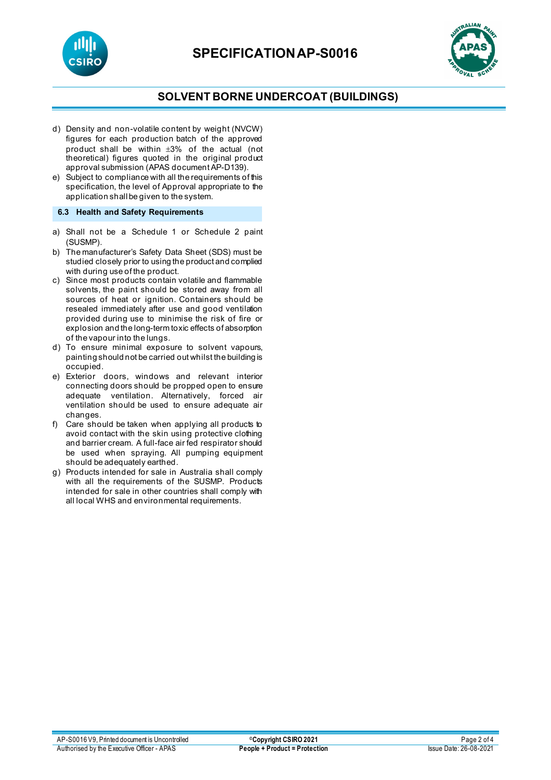



## **SOLVENT BORNE UNDERCOAT (BUILDINGS)**

- d) Density and non-volatile content by weight (NVCW) figures for each production batch of the approved product shall be within  $\pm 3\%$  of the actual (not theoretical) figures quoted in the original product approval submission (APAS document AP-D139).
- e) Subject to compliance with all the requirements of this specification, the level of Approval appropriate to the application shall be given to the system.

### **6.3 Health and Safety Requirements**

- a) Shall not be a Schedule 1 or Schedule 2 paint (SUSMP).
- b) The manufacturer's Safety Data Sheet (SDS) must be studied closely prior to using the product and complied with during use of the product.
- c) Since most products contain volatile and flammable solvents, the paint should be stored away from all sources of heat or ignition. Containers should be resealed immediately after use and good ventilation provided during use to minimise the risk of fire or explosion and the long-term toxic effects of absorption of the vapour into the lungs.
- d) To ensure minimal exposure to solvent vapours, painting should not be carried out whilst the building is occupied.
- e) Exterior doors, windows and relevant interior connecting doors should be propped open to ensure adequate ventilation. Alternatively, forced air ventilation should be used to ensure adequate air changes.
- f) Care should be taken when applying all products to avoid contact with the skin using protective clothing and barrier cream. A full-face air fed respirator should be used when spraying. All pumping equipment should be adequately earthed.
- g) Products intended for sale in Australia shall comply with all the requirements of the SUSMP. Products intended for sale in other countries shall comply with all local WHS and environmental requirements.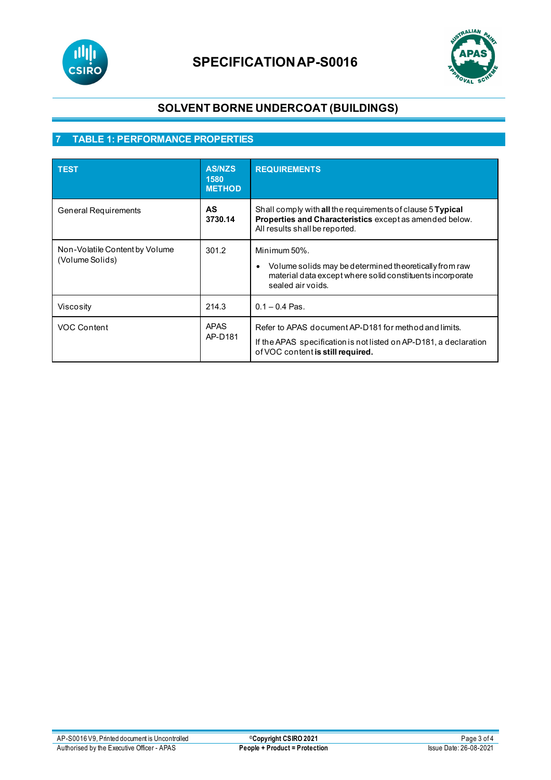

# **SPECIFICATIONAP-S0016**



# **SOLVENT BORNE UNDERCOAT (BUILDINGS)**

# **7 TABLE 1: PERFORMANCE PROPERTIES**

| <b>TEST</b>                                       | <b>AS/NZS</b><br>1580<br><b>METHOD</b> | <b>REQUIREMENTS</b>                                                                                                                                                   |
|---------------------------------------------------|----------------------------------------|-----------------------------------------------------------------------------------------------------------------------------------------------------------------------|
| <b>General Requirements</b>                       | <b>AS</b><br>3730.14                   | Shall comply with all the requirements of clause 5 Typical<br>Properties and Characteristics except as amended below.<br>All results shall be reported.               |
| Non-Volatile Content by Volume<br>(Volume Solids) | 301.2                                  | Minimum 50%.<br>Volume solids may be determined theoretically from raw<br>$\bullet$<br>material data except where solid constituents incorporate<br>sealed air voids. |
| Viscosity                                         | 214.3                                  | $0.1 - 0.4$ Pas.                                                                                                                                                      |
| VOC Content                                       | <b>APAS</b><br>AP-D181                 | Refer to APAS document AP-D181 for method and limits.<br>If the APAS specification is not listed on AP-D181, a declaration<br>of VOC content is still required.       |